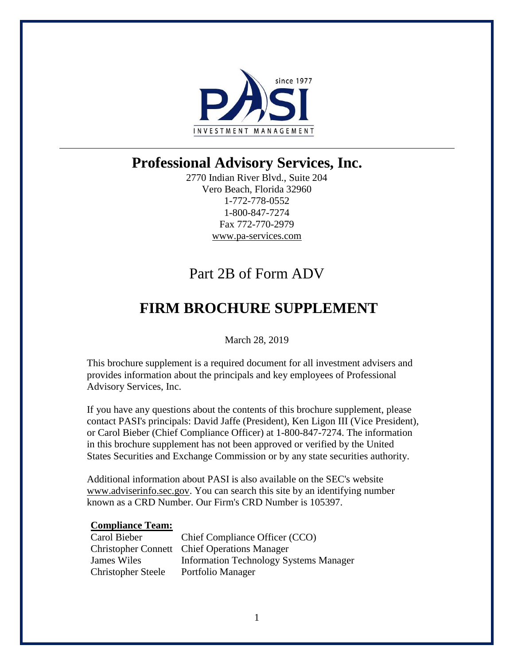

2770 Indian River Blvd., Suite 204 Vero Beach, Florida 32960 1-772-778-0552 1-800-847-7274 Fax 772-770-2979 www.pa-services.com

# Part 2B of Form ADV

# **FIRM BROCHURE SUPPLEMENT**

March 28, 2019

This brochure supplement is a required document for all investment advisers and provides information about the principals and key employees of Professional Advisory Services, Inc.

If you have any questions about the contents of this brochure supplement, please contact PASI's principals: David Jaffe (President), Ken Ligon III (Vice President), or Carol Bieber (Chief Compliance Officer) at 1-800-847-7274. The information in this brochure supplement has not been approved or verified by the United States Securities and Exchange Commission or by any state securities authority.

Additional information about PASI is also available on the SEC's website www.adviserinfo.sec.gov. You can search this site by an identifying number known as a CRD Number. Our Firm's CRD Number is 105397.

### **Compliance Team:**

| Carol Bieber              | Chief Compliance Officer (CCO)                      |
|---------------------------|-----------------------------------------------------|
|                           | <b>Christopher Connett</b> Chief Operations Manager |
| James Wiles               | <b>Information Technology Systems Manager</b>       |
| <b>Christopher Steele</b> | Portfolio Manager                                   |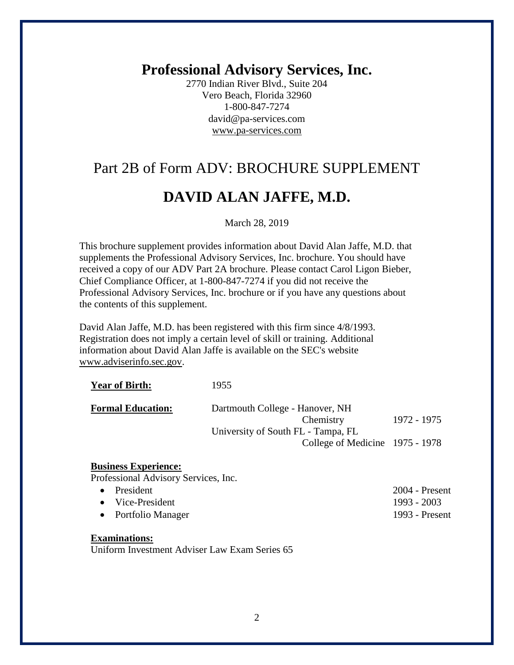2770 Indian River Blvd., Suite 204 Vero Beach, Florida 32960 1-800-847-7274 david@pa-services.com www.pa-services.com

# Part 2B of Form ADV: BROCHURE SUPPLEMENT

## **DAVID ALAN JAFFE, M.D.**

#### March 28, 2019

This brochure supplement provides information about David Alan Jaffe, M.D. that supplements the Professional Advisory Services, Inc. brochure. You should have received a copy of our ADV Part 2A brochure. Please contact Carol Ligon Bieber, Chief Compliance Officer, at 1-800-847-7274 if you did not receive the Professional Advisory Services, Inc. brochure or if you have any questions about the contents of this supplement.

David Alan Jaffe, M.D. has been registered with this firm since 4/8/1993. Registration does not imply a certain level of skill or training. Additional information about David Alan Jaffe is available on the SEC's website www.adviserinfo.sec.gov.

| <b>Year of Birth:</b>    | 1955                               |             |
|--------------------------|------------------------------------|-------------|
| <b>Formal Education:</b> | Dartmouth College - Hanover, NH    |             |
|                          | Chemistry                          | 1972 - 1975 |
|                          | University of South FL - Tampa, FL |             |
|                          | College of Medicine 1975 - 1978    |             |
|                          |                                    |             |

#### **Business Experience:**

Professional Advisory Services, Inc.

| $\bullet$ President      | $2004$ - Present |
|--------------------------|------------------|
| $\bullet$ Vice-President | 1993 - 2003      |
| • Portfolio Manager      | 1993 - Present   |

## **Examinations:**

Uniform Investment Adviser Law Exam Series 65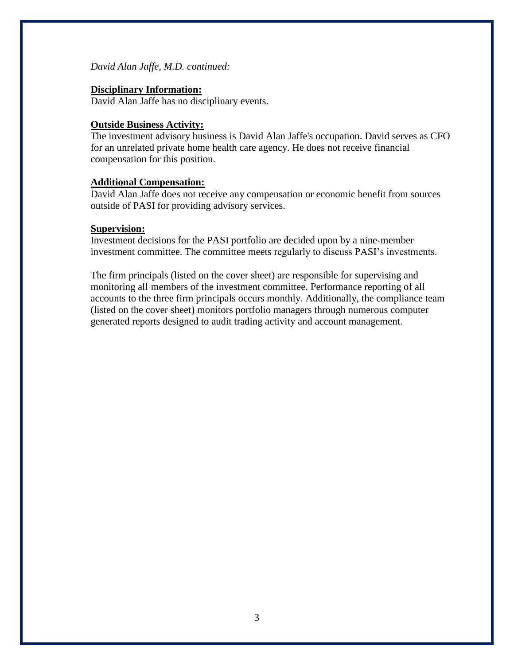*David Alan Jaffe, M.D. continued:*

### **Disciplinary Information:**

David Alan Jaffe has no disciplinary events.

## **Outside Business Activity:**

The investment advisory business is David Alan Jaffe's occupation. David serves as CFO for an unrelated private home health care agency. He does not receive financial compensation for this position.

### **Additional Compensation:**

David Alan Jaffe does not receive any compensation or economic benefit from sources outside of PASI for providing advisory services.

### **Supervision:**

Investment decisions for the PASI portfolio are decided upon by a nine-member investment committee. The committee meets regularly to discuss PASI's investments.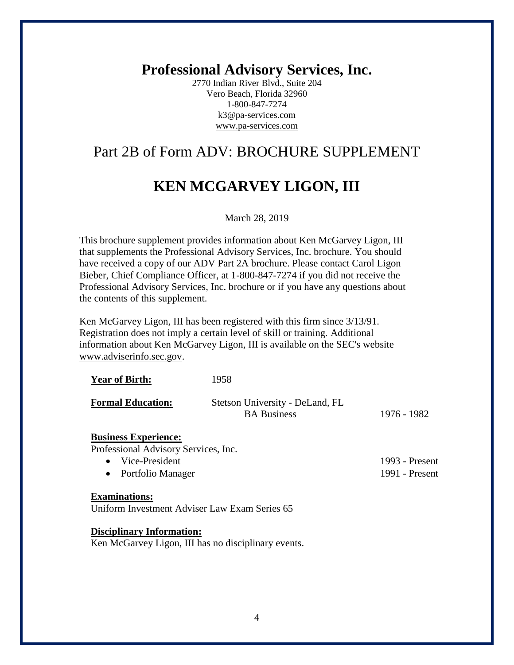2770 Indian River Blvd., Suite 204 Vero Beach, Florida 32960 1-800-847-7274 k3@pa-services.com www.pa-services.com

## Part 2B of Form ADV: BROCHURE SUPPLEMENT

# **KEN MCGARVEY LIGON, III**

#### March 28, 2019

This brochure supplement provides information about Ken McGarvey Ligon, III that supplements the Professional Advisory Services, Inc. brochure. You should have received a copy of our ADV Part 2A brochure. Please contact Carol Ligon Bieber, Chief Compliance Officer, at 1-800-847-7274 if you did not receive the Professional Advisory Services, Inc. brochure or if you have any questions about the contents of this supplement.

Ken McGarvey Ligon, III has been registered with this firm since 3/13/91. Registration does not imply a certain level of skill or training. Additional information about Ken McGarvey Ligon, III is available on the SEC's website www.adviserinfo.sec.gov.

| <b>Year of Birth:</b>    | 1958                                                  |             |
|--------------------------|-------------------------------------------------------|-------------|
| <b>Formal Education:</b> | Stetson University - DeLand, FL<br><b>BA</b> Business | 1976 - 1982 |

## **Business Experience:**

Professional Advisory Services, Inc.

| • Vice-President    | 1993 - Present |
|---------------------|----------------|
| • Portfolio Manager | 1991 - Present |

#### **Examinations:**

Uniform Investment Adviser Law Exam Series 65

**Disciplinary Information:**

Ken McGarvey Ligon, III has no disciplinary events.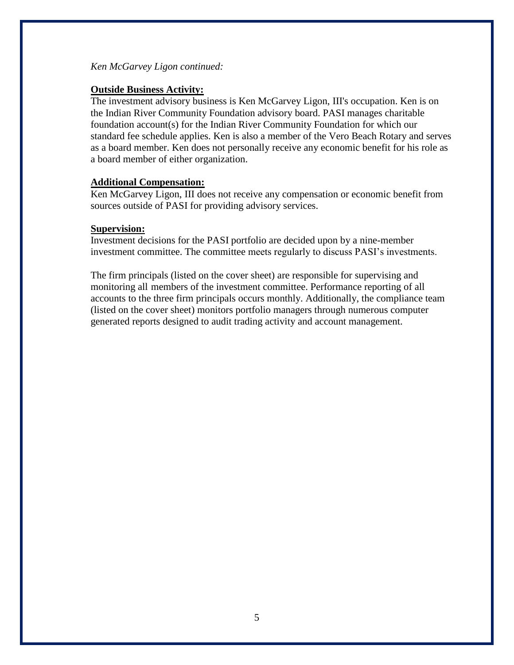*Ken McGarvey Ligon continued:*

## **Outside Business Activity:**

The investment advisory business is Ken McGarvey Ligon, III's occupation. Ken is on the Indian River Community Foundation advisory board. PASI manages charitable foundation account(s) for the Indian River Community Foundation for which our standard fee schedule applies. Ken is also a member of the Vero Beach Rotary and serves as a board member. Ken does not personally receive any economic benefit for his role as a board member of either organization.

## **Additional Compensation:**

Ken McGarvey Ligon, III does not receive any compensation or economic benefit from sources outside of PASI for providing advisory services.

### **Supervision:**

Investment decisions for the PASI portfolio are decided upon by a nine-member investment committee. The committee meets regularly to discuss PASI's investments.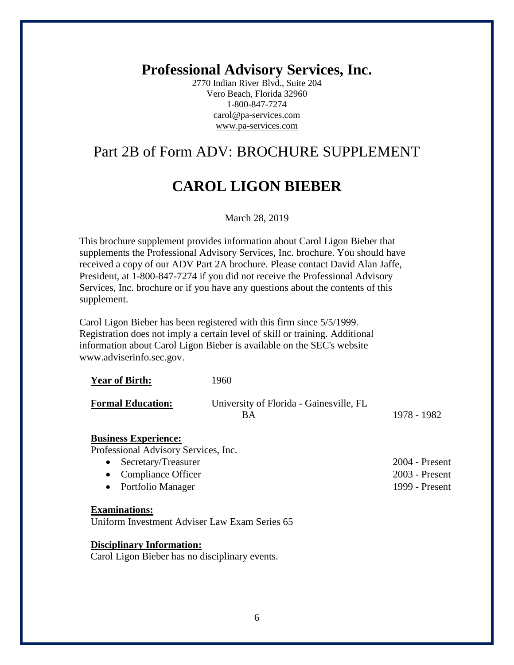2770 Indian River Blvd., Suite 204 Vero Beach, Florida 32960 1-800-847-7274 carol@pa-services.com www.pa-services.com

## Part 2B of Form ADV: BROCHURE SUPPLEMENT

# **CAROL LIGON BIEBER**

#### March 28, 2019

This brochure supplement provides information about Carol Ligon Bieber that supplements the Professional Advisory Services, Inc. brochure. You should have received a copy of our ADV Part 2A brochure. Please contact David Alan Jaffe, President, at 1-800-847-7274 if you did not receive the Professional Advisory Services, Inc. brochure or if you have any questions about the contents of this supplement.

Carol Ligon Bieber has been registered with this firm since 5/5/1999. Registration does not imply a certain level of skill or training. Additional information about Carol Ligon Bieber is available on the SEC's website www.adviserinfo.sec.gov.

| <b>Year of Birth:</b>    | 1960                                          |             |
|--------------------------|-----------------------------------------------|-------------|
| <b>Formal Education:</b> | University of Florida - Gainesville, FL<br>ВA | 1978 - 1982 |

#### **Business Experience:**

Professional Advisory Services, Inc.

| • Secretary/Treasurer | $2004$ - Present |
|-----------------------|------------------|
| • Compliance Officer  | $2003$ - Present |
| • Portfolio Manager   | 1999 - Present   |

#### **Examinations:**

Uniform Investment Adviser Law Exam Series 65

**Disciplinary Information:**

Carol Ligon Bieber has no disciplinary events.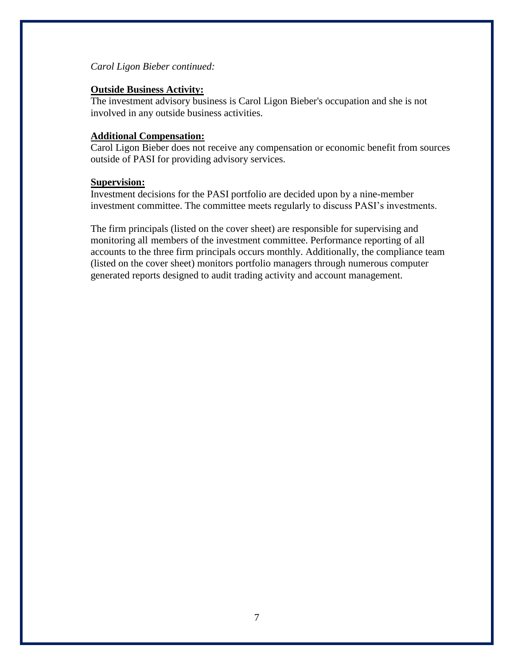### *Carol Ligon Bieber continued:*

### **Outside Business Activity:**

The investment advisory business is Carol Ligon Bieber's occupation and she is not involved in any outside business activities.

### **Additional Compensation:**

Carol Ligon Bieber does not receive any compensation or economic benefit from sources outside of PASI for providing advisory services.

#### **Supervision:**

Investment decisions for the PASI portfolio are decided upon by a nine-member investment committee. The committee meets regularly to discuss PASI's investments.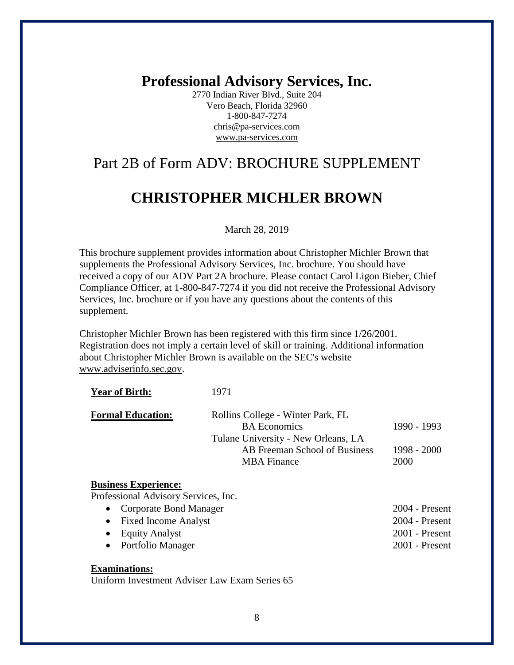2770 Indian River Blvd., Suite 204 Vero Beach, Florida 32960 1-800-847-7274 chris@pa-services.com www.pa-services.com

## Part 2B of Form ADV: BROCHURE SUPPLEMENT

## **CHRISTOPHER MICHLER BROWN**

#### March 28, 2019

This brochure supplement provides information about Christopher Michler Brown that supplements the Professional Advisory Services, Inc. brochure. You should have received a copy of our ADV Part 2A brochure. Please contact Carol Ligon Bieber, Chief Compliance Officer, at 1-800-847-7274 if you did not receive the Professional Advisory Services, Inc. brochure or if you have any questions about the contents of this supplement.

Christopher Michler Brown has been registered with this firm since 1/26/2001. Registration does not imply a certain level of skill or training. Additional information about Christopher Michler Brown is available on the SEC's website www.adviserinfo.sec.gov.

| <b>Formal Education:</b> | Rollins College - Winter Park, FL   |               |
|--------------------------|-------------------------------------|---------------|
|                          | <b>BA</b> Economics                 | 1990 - 1993   |
|                          | Tulane University - New Orleans, LA |               |
|                          | AB Freeman School of Business       | $1998 - 2000$ |
|                          | <b>MBA</b> Finance                  | 2000          |

| • Corporate Bond Manager | $2004$ - Present |
|--------------------------|------------------|
| • Fixed Income Analyst   | $2004$ - Present |
| • Equity Analyst         | $2001$ - Present |
| • Portfolio Manager      | $2001$ - Present |
|                          |                  |

## **Examinations:**

Uniform Investment Adviser Law Exam Series 65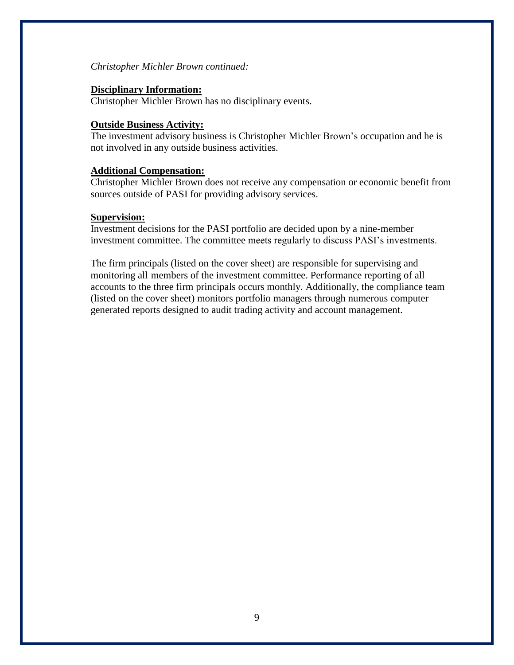#### *Christopher Michler Brown continued:*

### **Disciplinary Information:**

Christopher Michler Brown has no disciplinary events.

### **Outside Business Activity:**

The investment advisory business is Christopher Michler Brown's occupation and he is not involved in any outside business activities.

### **Additional Compensation:**

Christopher Michler Brown does not receive any compensation or economic benefit from sources outside of PASI for providing advisory services.

### **Supervision:**

Investment decisions for the PASI portfolio are decided upon by a nine-member investment committee. The committee meets regularly to discuss PASI's investments.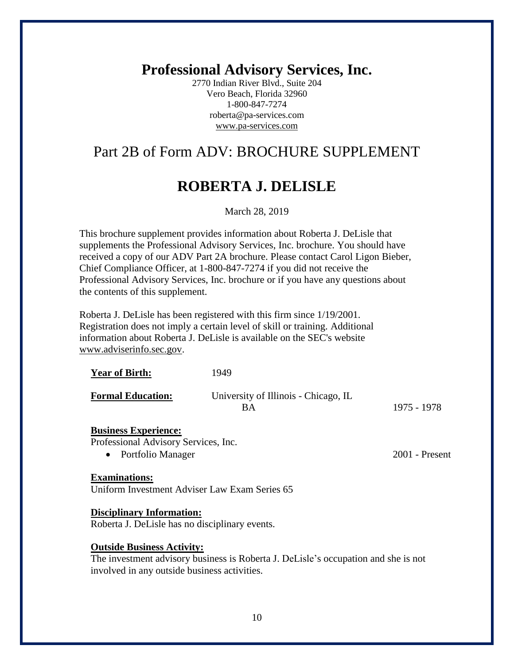2770 Indian River Blvd., Suite 204 Vero Beach, Florida 32960 1-800-847-7274 roberta@pa-services.com www.pa-services.com

## Part 2B of Form ADV: BROCHURE SUPPLEMENT

# **ROBERTA J. DELISLE**

March 28, 2019

This brochure supplement provides information about Roberta J. DeLisle that supplements the Professional Advisory Services, Inc. brochure. You should have received a copy of our ADV Part 2A brochure. Please contact Carol Ligon Bieber, Chief Compliance Officer, at 1-800-847-7274 if you did not receive the Professional Advisory Services, Inc. brochure or if you have any questions about the contents of this supplement.

Roberta J. DeLisle has been registered with this firm since 1/19/2001. Registration does not imply a certain level of skill or training. Additional information about Roberta J. DeLisle is available on the SEC's website www.adviserinfo.sec.gov.

| <b>Year of Birth:</b>    | 1949                                       |             |
|--------------------------|--------------------------------------------|-------------|
| <b>Formal Education:</b> | University of Illinois - Chicago, IL<br>BА | 1975 - 1978 |

#### **Business Experience:**

Professional Advisory Services, Inc.

• Portfolio Manager 2001 - Present

#### **Examinations:**

Uniform Investment Adviser Law Exam Series 65

**Disciplinary Information:**

Roberta J. DeLisle has no disciplinary events.

#### **Outside Business Activity:**

The investment advisory business is Roberta J. DeLisle's occupation and she is not involved in any outside business activities.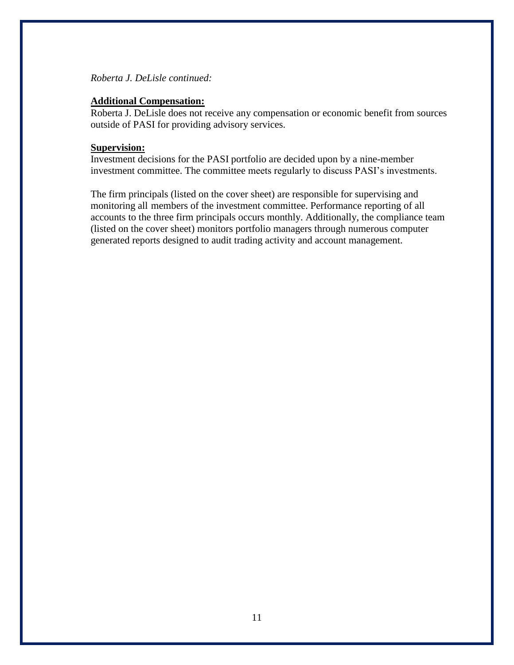### *Roberta J. DeLisle continued:*

#### **Additional Compensation:**

Roberta J. DeLisle does not receive any compensation or economic benefit from sources outside of PASI for providing advisory services.

### **Supervision:**

Investment decisions for the PASI portfolio are decided upon by a nine-member investment committee. The committee meets regularly to discuss PASI's investments.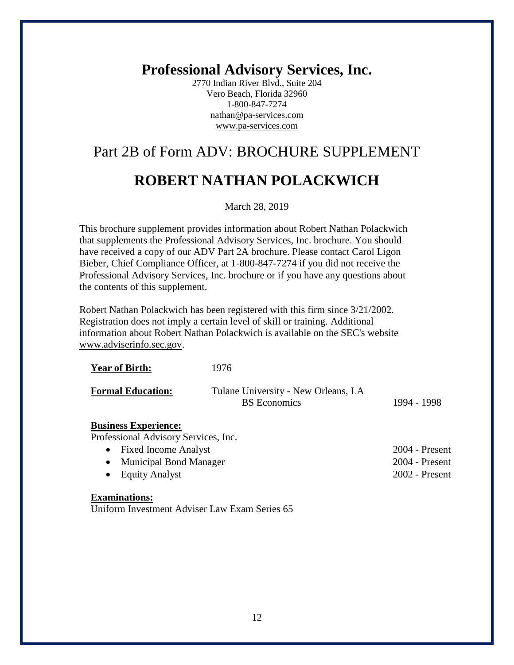2770 Indian River Blvd., Suite 204 Vero Beach, Florida 32960 1-800-847-7274 nathan@pa-services.com www.pa-services.com

# Part 2B of Form ADV: BROCHURE SUPPLEMENT

# **ROBERT NATHAN POLACKWICH**

March 28, 2019

This brochure supplement provides information about Robert Nathan Polackwich that supplements the Professional Advisory Services, Inc. brochure. You should have received a copy of our ADV Part 2A brochure. Please contact Carol Ligon Bieber, Chief Compliance Officer, at 1-800-847-7274 if you did not receive the Professional Advisory Services, Inc. brochure or if you have any questions about the contents of this supplement.

Robert Nathan Polackwich has been registered with this firm since 3/21/2002. Registration does not imply a certain level of skill or training. Additional information about Robert Nathan Polackwich is available on the SEC's website www.adviserinfo.sec.gov.

| <b>Year of Birth:</b>    | 1976                                                       |             |
|--------------------------|------------------------------------------------------------|-------------|
| <b>Formal Education:</b> | Tulane University - New Orleans, LA<br><b>BS</b> Economics | 1994 - 1998 |

### **Business Experience:**

Professional Advisory Services, Inc.

| • Fixed Income Analyst   | $2004$ - Present |
|--------------------------|------------------|
| • Municipal Bond Manager | $2004$ - Present |
| • Equity Analyst         | $2002$ - Present |

#### **Examinations:**

Uniform Investment Adviser Law Exam Series 65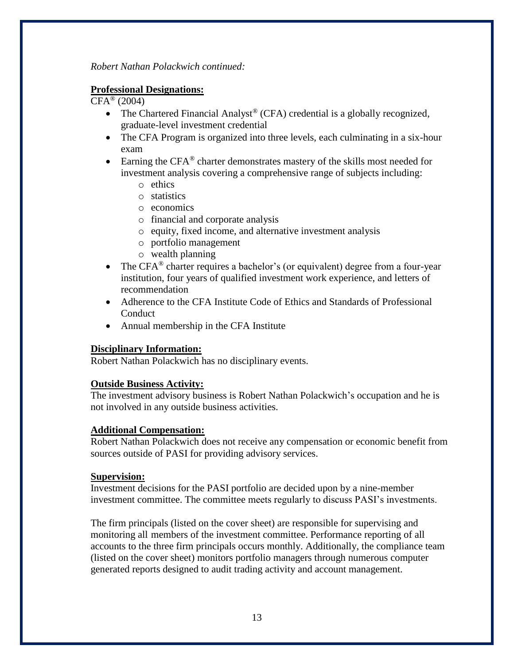*Robert Nathan Polackwich continued:*

### **Professional Designations:**

 $CFA^{\circledR}$  (2004)

- The Chartered Financial Analyst<sup>®</sup> (CFA) credential is a globally recognized, graduate-level investment credential
- The CFA Program is organized into three levels, each culminating in a six-hour exam
- Earning the  $CFA^{\otimes}$  charter demonstrates mastery of the skills most needed for investment analysis covering a comprehensive range of subjects including:
	- o ethics
	- o statistics
	- o economics
	- o financial and corporate analysis
	- o equity, fixed income, and alternative investment analysis
	- o portfolio management
	- o wealth planning
- The CFA<sup>®</sup> charter requires a bachelor's (or equivalent) degree from a four-year institution, four years of qualified investment work experience, and letters of recommendation
- Adherence to the CFA Institute Code of Ethics and Standards of Professional Conduct
- Annual membership in the CFA Institute

#### **Disciplinary Information:**

Robert Nathan Polackwich has no disciplinary events.

#### **Outside Business Activity:**

The investment advisory business is Robert Nathan Polackwich's occupation and he is not involved in any outside business activities.

#### **Additional Compensation:**

Robert Nathan Polackwich does not receive any compensation or economic benefit from sources outside of PASI for providing advisory services.

#### **Supervision:**

Investment decisions for the PASI portfolio are decided upon by a nine-member investment committee. The committee meets regularly to discuss PASI's investments.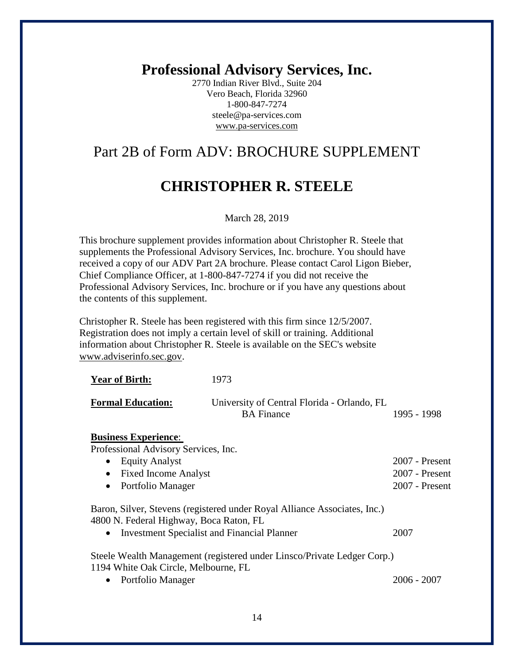2770 Indian River Blvd., Suite 204 Vero Beach, Florida 32960 1-800-847-7274 steele@pa-services.com www.pa-services.com

# Part 2B of Form ADV: BROCHURE SUPPLEMENT

## **CHRISTOPHER R. STEELE**

March 28, 2019

This brochure supplement provides information about Christopher R. Steele that supplements the Professional Advisory Services, Inc. brochure. You should have received a copy of our ADV Part 2A brochure. Please contact Carol Ligon Bieber, Chief Compliance Officer, at 1-800-847-7274 if you did not receive the Professional Advisory Services, Inc. brochure or if you have any questions about the contents of this supplement.

Christopher R. Steele has been registered with this firm since 12/5/2007. Registration does not imply a certain level of skill or training. Additional information about Christopher R. Steele is available on the SEC's website www.adviserinfo.sec.gov.

| <b>Year of Birth:</b>                              | 1973                                                                      |                  |
|----------------------------------------------------|---------------------------------------------------------------------------|------------------|
| <b>Formal Education:</b>                           | University of Central Florida - Orlando, FL<br><b>BA</b> Finance          | 1995 - 1998      |
| <b>Business Experience:</b>                        |                                                                           |                  |
| Professional Advisory Services, Inc.               |                                                                           |                  |
| <b>Equity Analyst</b>                              |                                                                           | $2007$ - Present |
| <b>Fixed Income Analyst</b>                        |                                                                           | $2007$ - Present |
| Portfolio Manager                                  |                                                                           | $2007$ - Present |
|                                                    | Baron, Silver, Stevens (registered under Royal Alliance Associates, Inc.) |                  |
| 4800 N. Federal Highway, Boca Raton, FL            |                                                                           |                  |
| <b>Investment Specialist and Financial Planner</b> |                                                                           | 2007             |

• Portfolio Manager 2006 - 2007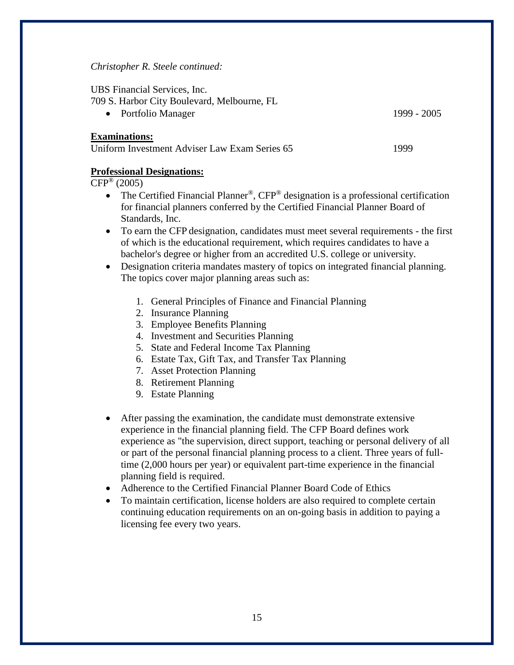#### *Christopher R. Steele continued:*

UBS Financial Services, Inc.

709 S. Harbor City Boulevard, Melbourne, FL

• Portfolio Manager 1999 - 2005

#### **Examinations:**

| Uniform Investment Adviser Law Exam Series 65 |
|-----------------------------------------------|
|-----------------------------------------------|

### **Professional Designations:**

 $CFP^{\circledR}$  (2005)

- The Certified Financial Planner®, CFP® designation is a [professional certification](http://en.wikipedia.org/wiki/Professional_certification) for [financial planners](http://en.wikipedia.org/wiki/Financial_planner) conferred by the [Certified Financial Planner Board of](http://en.wikipedia.org/wiki/Certified_Financial_Planner_Board_of_Standards,_Inc._(CFP_Board))  [Standards, Inc.](http://en.wikipedia.org/wiki/Certified_Financial_Planner_Board_of_Standards,_Inc._(CFP_Board))
- To earn the CFP designation, candidates must meet several requirements the first of which is the educational requirement, which requires candidates to have a bachelor's degree or higher from an accredited U.S. college or university.
- Designation criteria mandates mastery of topics on integrated financial planning. The topics cover major planning areas such as:
	- 1. General Principles of Finance and Financial Planning
	- 2. Insurance Planning
	- 3. Employee Benefits Planning
	- 4. [Investment](http://en.wikipedia.org/wiki/Investment) and Securities Planning
	- 5. State and Federal [Income Tax](http://en.wikipedia.org/wiki/Income_Tax) Planning
	- 6. Estate Tax, Gift Tax, and Transfer Tax Planning
	- 7. Asset Protection Planning
	- 8. [Retirement](http://en.wikipedia.org/wiki/Retirement) Planning
	- 9. [Estate](http://en.wikipedia.org/wiki/Estate_(law)) Planning
- After passing the examination, the candidate must demonstrate extensive experience in the financial planning field. The CFP Board defines work experience as "the supervision, direct support, teaching or personal delivery of all or part of the personal financial planning process to a client. Three years of fulltime (2,000 hours per year) or equivalent part-time experience in the financial planning field is required.
- Adherence to the [Certified Financial Planner Board Code of Ethics](http://en.wikipedia.org/wiki/Certified_Financial_Planner_Board_of_Standards,_Inc._(CFP_Board))
- To maintain certification, license holders are also required to complete certain continuing education requirements on an on-going basis in addition to paying a licensing fee every two years.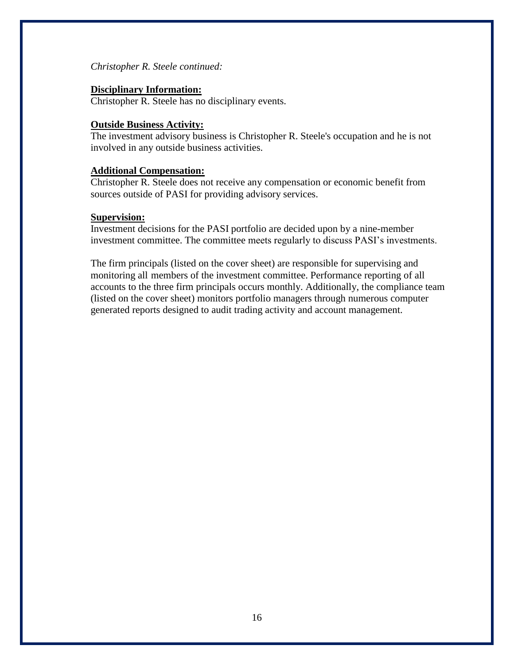#### *Christopher R. Steele continued:*

### **Disciplinary Information:**

Christopher R. Steele has no disciplinary events.

### **Outside Business Activity:**

The investment advisory business is Christopher R. Steele's occupation and he is not involved in any outside business activities.

### **Additional Compensation:**

Christopher R. Steele does not receive any compensation or economic benefit from sources outside of PASI for providing advisory services.

### **Supervision:**

Investment decisions for the PASI portfolio are decided upon by a nine-member investment committee. The committee meets regularly to discuss PASI's investments.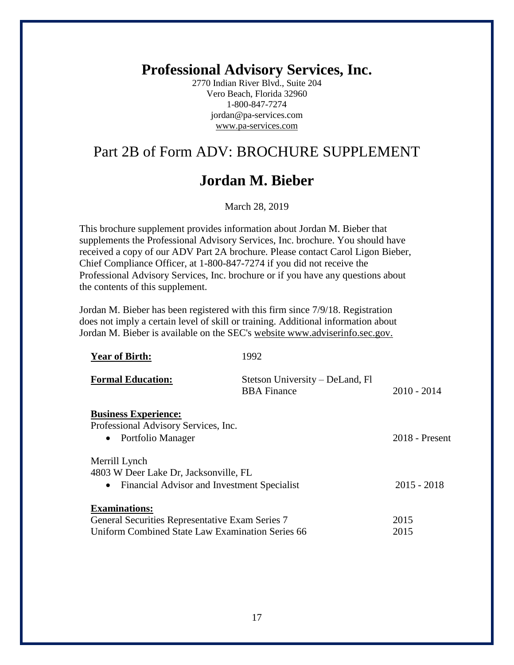2770 Indian River Blvd., Suite 204 Vero Beach, Florida 32960 1-800-847-7274 jordan@pa-services.com www.pa-services.com

# Part 2B of Form ADV: BROCHURE SUPPLEMENT

## **Jordan M. Bieber**

March 28, 2019

This brochure supplement provides information about Jordan M. Bieber that supplements the Professional Advisory Services, Inc. brochure. You should have received a copy of our ADV Part 2A brochure. Please contact Carol Ligon Bieber, Chief Compliance Officer, at 1-800-847-7274 if you did not receive the Professional Advisory Services, Inc. brochure or if you have any questions about the contents of this supplement.

Jordan M. Bieber has been registered with this firm since 7/9/18. Registration does not imply a certain level of skill or training. Additional information about Jordan M. Bieber is available on the SEC's website www.adviserinfo.sec.gov.

| <b>Year of Birth:</b>                            | 1992                                                  |                  |
|--------------------------------------------------|-------------------------------------------------------|------------------|
| <b>Formal Education:</b>                         | Stetson University – DeLand, Fl<br><b>BBA</b> Finance | $2010 - 2014$    |
| <b>Business Experience:</b>                      |                                                       |                  |
| Professional Advisory Services, Inc.             |                                                       |                  |
| • Portfolio Manager                              |                                                       | $2018$ - Present |
| Merrill Lynch                                    |                                                       |                  |
| 4803 W Deer Lake Dr, Jacksonville, FL            |                                                       |                  |
| • Financial Advisor and Investment Specialist    |                                                       | $2015 - 2018$    |
| <b>Examinations:</b>                             |                                                       |                  |
| General Securities Representative Exam Series 7  |                                                       | 2015             |
| Uniform Combined State Law Examination Series 66 |                                                       | 2015             |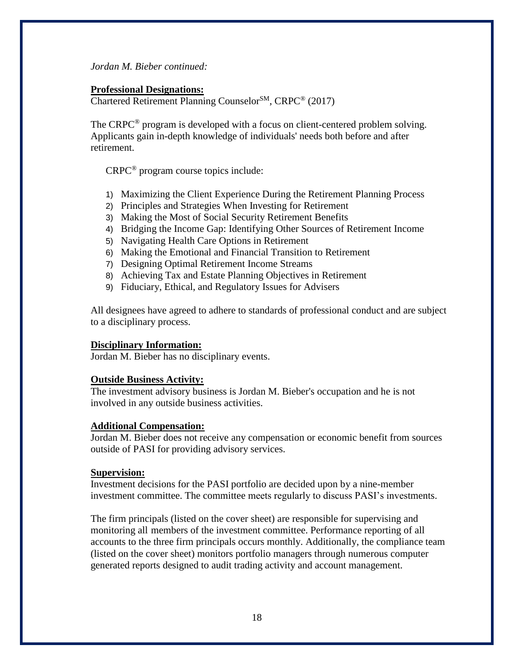*Jordan M. Bieber continued:*

### **Professional Designations:**

Chartered Retirement Planning Counselor<sup>SM</sup>, CRPC<sup>®</sup> (2017)

The CRPC<sup>®</sup> program is developed with a focus on client-centered problem solving. Applicants gain in-depth knowledge of individuals' needs both before and after retirement.

CRPC® program course topics include:

- 1) Maximizing the Client Experience During the Retirement Planning Process
- 2) Principles and Strategies When Investing for Retirement
- 3) Making the Most of Social Security Retirement Benefits
- 4) Bridging the Income Gap: Identifying Other Sources of Retirement Income
- 5) Navigating Health Care Options in Retirement
- 6) Making the Emotional and Financial Transition to Retirement
- 7) Designing Optimal Retirement Income Streams
- 8) Achieving Tax and Estate Planning Objectives in Retirement
- 9) Fiduciary, Ethical, and Regulatory Issues for Advisers

All designees have agreed to adhere to standards of professional conduct and are subject to a disciplinary process.

### **Disciplinary Information:**

Jordan M. Bieber has no disciplinary events.

### **Outside Business Activity:**

The investment advisory business is Jordan M. Bieber's occupation and he is not involved in any outside business activities.

#### **Additional Compensation:**

Jordan M. Bieber does not receive any compensation or economic benefit from sources outside of PASI for providing advisory services.

#### **Supervision:**

Investment decisions for the PASI portfolio are decided upon by a nine-member investment committee. The committee meets regularly to discuss PASI's investments.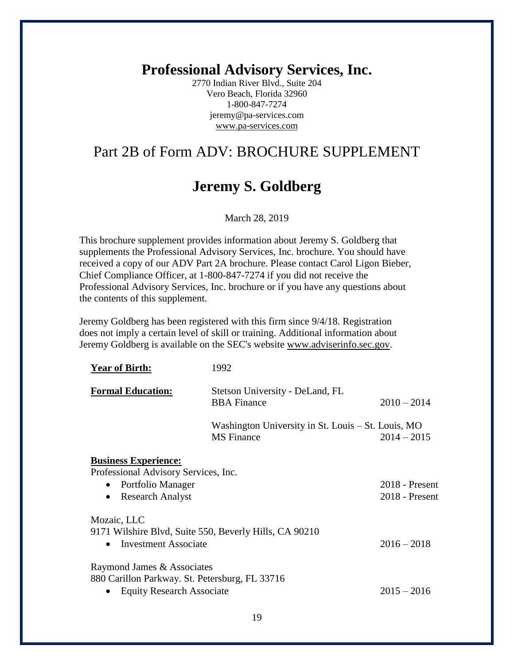2770 Indian River Blvd., Suite 204 Vero Beach, Florida 32960 1-800-847-7274 jeremy@pa-services.com www.pa-services.com

# Part 2B of Form ADV: BROCHURE SUPPLEMENT

## **Jeremy S. Goldberg**

March 28, 2019

This brochure supplement provides information about Jeremy S. Goldberg that supplements the Professional Advisory Services, Inc. brochure. You should have received a copy of our ADV Part 2A brochure. Please contact Carol Ligon Bieber, Chief Compliance Officer, at 1-800-847-7274 if you did not receive the Professional Advisory Services, Inc. brochure or if you have any questions about the contents of this supplement.

Jeremy Goldberg has been registered with this firm since 9/4/18. Registration does not imply a certain level of skill or training. Additional information about Jeremy Goldberg is available on the SEC's website www.adviserinfo.sec.gov.

| <b>Year of Birth:</b>                                                                                                                         | 1992                                                                    |                                    |
|-----------------------------------------------------------------------------------------------------------------------------------------------|-------------------------------------------------------------------------|------------------------------------|
| <b>Formal Education:</b>                                                                                                                      | Stetson University - DeLand, FL<br><b>BBA</b> Finance                   | $2010 - 2014$                      |
|                                                                                                                                               | Washington University in St. Louis – St. Louis, MO<br><b>MS</b> Finance | $2014 - 2015$                      |
| <b>Business Experience:</b><br>Professional Advisory Services, Inc.<br>Portfolio Manager<br>$\bullet$<br><b>Research Analyst</b><br>$\bullet$ |                                                                         | 2018 - Present<br>$2018$ - Present |
| Mozaic, LLC<br>9171 Wilshire Blvd, Suite 550, Beverly Hills, CA 90210<br><b>Investment Associate</b>                                          |                                                                         | $2016 - 2018$                      |
| Raymond James & Associates<br>880 Carillon Parkway. St. Petersburg, FL 33716<br><b>Equity Research Associate</b>                              |                                                                         | $2015 - 2016$                      |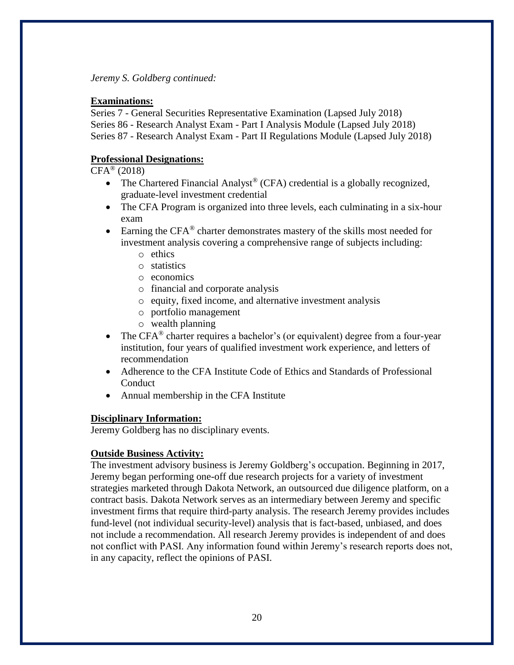*Jeremy S. Goldberg continued:*

### **Examinations:**

Series 7 - General Securities Representative Examination (Lapsed July 2018) Series 86 - Research Analyst Exam - Part I Analysis Module (Lapsed July 2018) Series 87 - Research Analyst Exam - Part II Regulations Module (Lapsed July 2018)

## **Professional Designations:**

 $CFA^{(0)}(2018)$ 

- The Chartered Financial Analyst<sup>®</sup> (CFA) credential is a globally recognized, graduate-level investment credential
- The CFA Program is organized into three levels, each culminating in a six-hour exam
- Earning the  $CFA^{\circledast}$  charter demonstrates mastery of the skills most needed for investment analysis covering a comprehensive range of subjects including:
	- o ethics
	- o statistics
	- o economics
	- o financial and corporate analysis
	- o equity, fixed income, and alternative investment analysis
	- o portfolio management
	- o wealth planning
- The CFA<sup>®</sup> charter requires a bachelor's (or equivalent) degree from a four-year institution, four years of qualified investment work experience, and letters of recommendation
- Adherence to the CFA Institute Code of Ethics and Standards of Professional Conduct
- Annual membership in the CFA Institute

### **Disciplinary Information:**

Jeremy Goldberg has no disciplinary events.

### **Outside Business Activity:**

The investment advisory business is Jeremy Goldberg's occupation. Beginning in 2017, Jeremy began performing one-off due research projects for a variety of investment strategies marketed through Dakota Network, an outsourced due diligence platform, on a contract basis. Dakota Network serves as an intermediary between Jeremy and specific investment firms that require third-party analysis. The research Jeremy provides includes fund-level (not individual security-level) analysis that is fact-based, unbiased, and does not include a recommendation. All research Jeremy provides is independent of and does not conflict with PASI. Any information found within Jeremy's research reports does not, in any capacity, reflect the opinions of PASI.